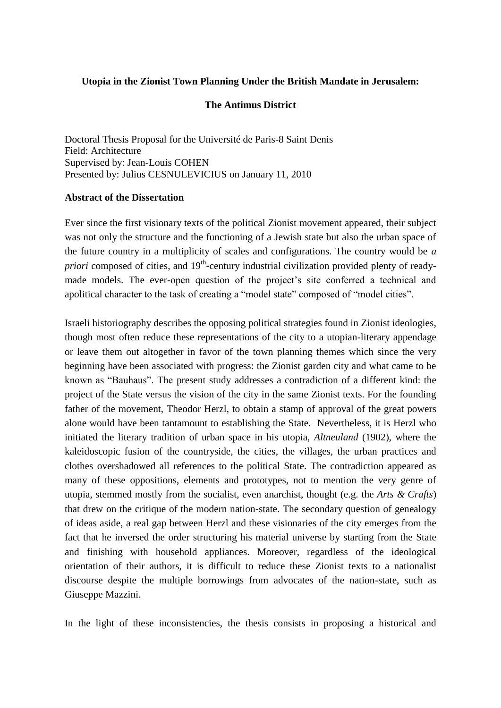## **Utopia in the Zionist Town Planning Under the British Mandate in Jerusalem:**

## **The Antimus District**

Doctoral Thesis Proposal for the Université de Paris-8 Saint Denis Field: Architecture Supervised by: Jean-Louis COHEN Presented by: Julius CESNULEVICIUS on January 11, 2010

## **Abstract of the Dissertation**

Ever since the first visionary texts of the political Zionist movement appeared, their subject was not only the structure and the functioning of a Jewish state but also the urban space of the future country in a multiplicity of scales and configurations. The country would be *a priori* composed of cities, and 19<sup>th</sup>-century industrial civilization provided plenty of readymade models. The ever-open question of the project's site conferred a technical and apolitical character to the task of creating a "model state" composed of "model cities".

Israeli historiography describes the opposing political strategies found in Zionist ideologies, though most often reduce these representations of the city to a utopian-literary appendage or leave them out altogether in favor of the town planning themes which since the very beginning have been associated with progress: the Zionist garden city and what came to be known as "Bauhaus". The present study addresses a contradiction of a different kind: the project of the State versus the vision of the city in the same Zionist texts. For the founding father of the movement, Theodor Herzl, to obtain a stamp of approval of the great powers alone would have been tantamount to establishing the State. Nevertheless, it is Herzl who initiated the literary tradition of urban space in his utopia, *Altneuland* (1902), where the kaleidoscopic fusion of the countryside, the cities, the villages, the urban practices and clothes overshadowed all references to the political State. The contradiction appeared as many of these oppositions, elements and prototypes, not to mention the very genre of utopia, stemmed mostly from the socialist, even anarchist, thought (e.g. the *Arts & Crafts*) that drew on the critique of the modern nation-state. The secondary question of genealogy of ideas aside, a real gap between Herzl and these visionaries of the city emerges from the fact that he inversed the order structuring his material universe by starting from the State and finishing with household appliances. Moreover, regardless of the ideological orientation of their authors, it is difficult to reduce these Zionist texts to a nationalist discourse despite the multiple borrowings from advocates of the nation-state, such as Giuseppe Mazzini.

In the light of these inconsistencies, the thesis consists in proposing a historical and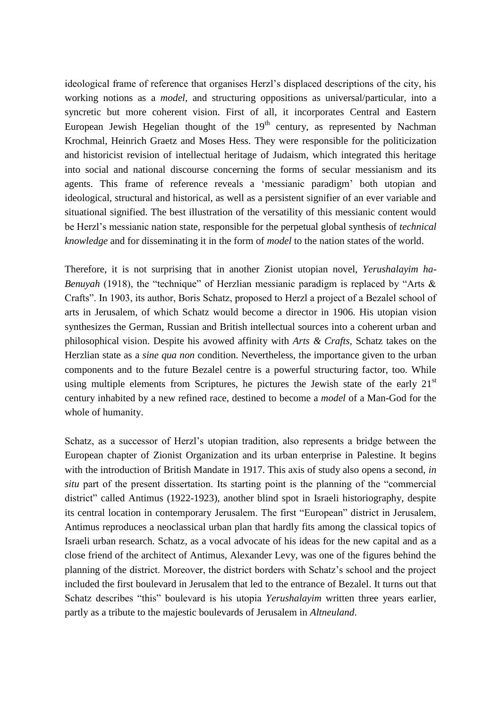ideological frame of reference that organises Herzl"s displaced descriptions of the city, his working notions as a *model,* and structuring oppositions as universal/particular, into a syncretic but more coherent vision. First of all, it incorporates Central and Eastern European Jewish Hegelian thought of the  $19<sup>th</sup>$  century, as represented by Nachman Krochmal, Heinrich Graetz and Moses Hess. They were responsible for the politicization and historicist revision of intellectual heritage of Judaism, which integrated this heritage into social and national discourse concerning the forms of secular messianism and its agents. This frame of reference reveals a "messianic paradigm" both utopian and ideological, structural and historical, as well as a persistent signifier of an ever variable and situational signified. The best illustration of the versatility of this messianic content would be Herzl"s messianic nation state, responsible for the perpetual global synthesis of *technical knowledge* and for disseminating it in the form of *model* to the nation states of the world.

Therefore, it is not surprising that in another Zionist utopian novel, *Yerushalayim ha-Benuyah* (1918), the "technique" of Herzlian messianic paradigm is replaced by "Arts & Crafts". In 1903, its author, Boris Schatz, proposed to Herzl a project of a Bezalel school of arts in Jerusalem, of which Schatz would become a director in 1906. His utopian vision synthesizes the German, Russian and British intellectual sources into a coherent urban and philosophical vision. Despite his avowed affinity with *Arts & Crafts,* Schatz takes on the Herzlian state as a *sine qua non* condition. Nevertheless, the importance given to the urban components and to the future Bezalel centre is a powerful structuring factor, too. While using multiple elements from Scriptures, he pictures the Jewish state of the early  $21<sup>st</sup>$ century inhabited by a new refined race, destined to become a *model* of a Man-God for the whole of humanity.

Schatz, as a successor of Herzl"s utopian tradition, also represents a bridge between the European chapter of Zionist Organization and its urban enterprise in Palestine. It begins with the introduction of British Mandate in 1917. This axis of study also opens a second, *in situ* part of the present dissertation. Its starting point is the planning of the "commercial district" called Antimus (1922-1923), another blind spot in Israeli historiography, despite its central location in contemporary Jerusalem. The first "European" district in Jerusalem, Antimus reproduces a neoclassical urban plan that hardly fits among the classical topics of Israeli urban research. Schatz, as a vocal advocate of his ideas for the new capital and as a close friend of the architect of Antimus, Alexander Levy, was one of the figures behind the planning of the district. Moreover, the district borders with Schatz"s school and the project included the first boulevard in Jerusalem that led to the entrance of Bezalel. It turns out that Schatz describes "this" boulevard is his utopia *Yerushalayim* written three years earlier, partly as a tribute to the majestic boulevards of Jerusalem in *Altneuland*.